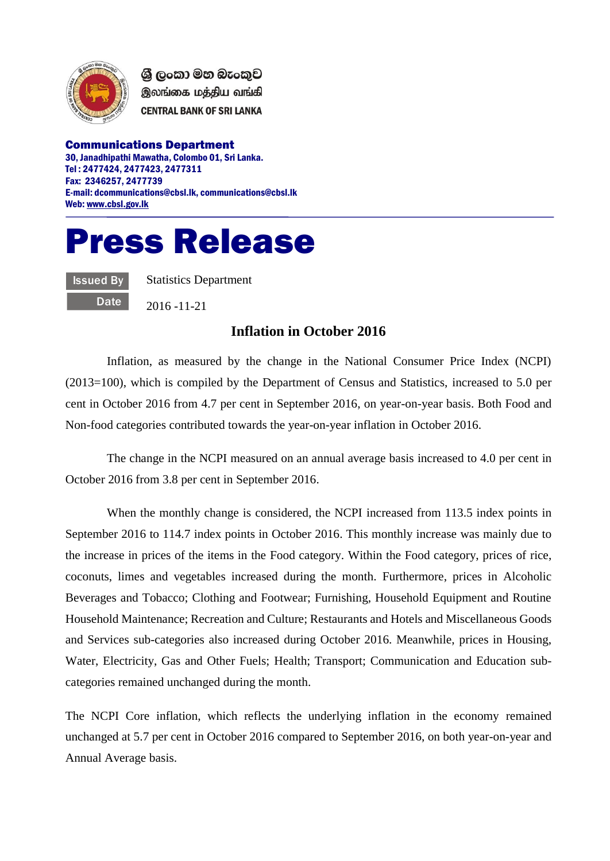

ශී ලංකා මහ බැංකුව இலங்கை மத்திய வங்கி **CENTRAL BANK OF SRI LANKA** 

Communications Department 30, Janadhipathi Mawatha, Colombo 01, Sri Lanka. Tel : 2477424, 2477423, 2477311 Fax: 2346257, 2477739 E-mail: dcommunications@cbsl.lk, communications@cbsl.lk Web[: www.cbsl.gov.lk](http://www.cbsl.gov.lk/)

## Press Release

Issued By **Date**  Statistics Department

2016 -11-21

## **Inflation in October 2016**

Inflation, as measured by the change in the National Consumer Price Index (NCPI) (2013=100), which is compiled by the Department of Census and Statistics, increased to 5.0 per cent in October 2016 from 4.7 per cent in September 2016, on year-on-year basis. Both Food and Non-food categories contributed towards the year-on-year inflation in October 2016.

The change in the NCPI measured on an annual average basis increased to 4.0 per cent in October 2016 from 3.8 per cent in September 2016.

When the monthly change is considered, the NCPI increased from 113.5 index points in September 2016 to 114.7 index points in October 2016. This monthly increase was mainly due to the increase in prices of the items in the Food category. Within the Food category, prices of rice, coconuts, limes and vegetables increased during the month. Furthermore, prices in Alcoholic Beverages and Tobacco; Clothing and Footwear; Furnishing, Household Equipment and Routine Household Maintenance; Recreation and Culture; Restaurants and Hotels and Miscellaneous Goods and Services sub-categories also increased during October 2016. Meanwhile, prices in Housing, Water, Electricity, Gas and Other Fuels; Health; Transport; Communication and Education subcategories remained unchanged during the month.

The NCPI Core inflation, which reflects the underlying inflation in the economy remained unchanged at 5.7 per cent in October 2016 compared to September 2016, on both year-on-year and Annual Average basis.